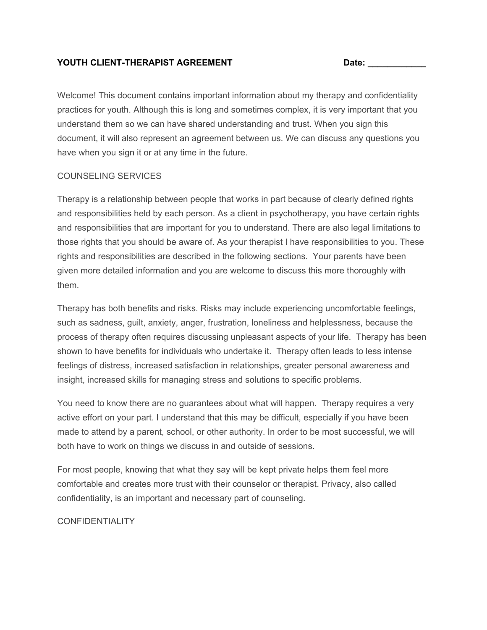### **YOUTH CLIENT-THERAPIST AGREEMENT Date: \_\_\_\_\_\_\_\_\_\_\_\_**

Welcome! This document contains important information about my therapy and confidentiality practices for youth. Although this is long and sometimes complex, it is very important that you understand them so we can have shared understanding and trust. When you sign this document, it will also represent an agreement between us. We can discuss any questions you have when you sign it or at any time in the future.

## COUNSELING SERVICES

Therapy is a relationship between people that works in part because of clearly defined rights and responsibilities held by each person. As a client in psychotherapy, you have certain rights and responsibilities that are important for you to understand. There are also legal limitations to those rights that you should be aware of. As your therapist I have responsibilities to you. These rights and responsibilities are described in the following sections. Your parents have been given more detailed information and you are welcome to discuss this more thoroughly with them.

Therapy has both benefits and risks. Risks may include experiencing uncomfortable feelings, such as sadness, guilt, anxiety, anger, frustration, loneliness and helplessness, because the process of therapy often requires discussing unpleasant aspects of your life. Therapy has been shown to have benefits for individuals who undertake it. Therapy often leads to less intense feelings of distress, increased satisfaction in relationships, greater personal awareness and insight, increased skills for managing stress and solutions to specific problems.

You need to know there are no guarantees about what will happen. Therapy requires a very active effort on your part. I understand that this may be difficult, especially if you have been made to attend by a parent, school, or other authority. In order to be most successful, we will both have to work on things we discuss in and outside of sessions.

For most people, knowing that what they say will be kept private helps them feel more comfortable and creates more trust with their counselor or therapist. Privacy, also called confidentiality, is an important and necessary part of counseling.

### CONFIDENTIALITY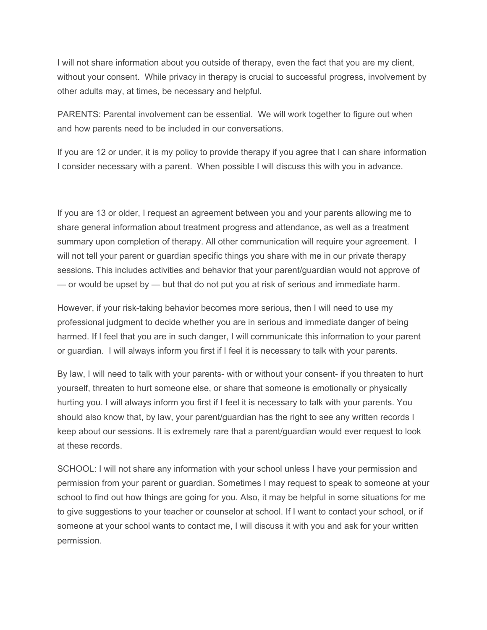I will not share information about you outside of therapy, even the fact that you are my client, without your consent. While privacy in therapy is crucial to successful progress, involvement by other adults may, at times, be necessary and helpful.

PARENTS: Parental involvement can be essential. We will work together to figure out when and how parents need to be included in our conversations.

If you are 12 or under, it is my policy to provide therapy if you agree that I can share information I consider necessary with a parent. When possible I will discuss this with you in advance.

If you are 13 or older, I request an agreement between you and your parents allowing me to share general information about treatment progress and attendance, as well as a treatment summary upon completion of therapy. All other communication will require your agreement. I will not tell your parent or guardian specific things you share with me in our private therapy sessions. This includes activities and behavior that your parent/guardian would not approve of  $-$  or would be upset by  $-$  but that do not put you at risk of serious and immediate harm.

However, if your risk-taking behavior becomes more serious, then I will need to use my professional judgment to decide whether you are in serious and immediate danger of being harmed. If I feel that you are in such danger, I will communicate this information to your parent or guardian. I will always inform you first if I feel it is necessary to talk with your parents.

By law, I will need to talk with your parents- with or without your consent- if you threaten to hurt yourself, threaten to hurt someone else, or share that someone is emotionally or physically hurting you. I will always inform you first if I feel it is necessary to talk with your parents. You should also know that, by law, your parent/guardian has the right to see any written records I keep about our sessions. It is extremely rare that a parent/guardian would ever request to look at these records.

SCHOOL: I will not share any information with your school unless I have your permission and permission from your parent or guardian. Sometimes I may request to speak to someone at your school to find out how things are going for you. Also, it may be helpful in some situations for me to give suggestions to your teacher or counselor at school. If I want to contact your school, or if someone at your school wants to contact me, I will discuss it with you and ask for your written permission.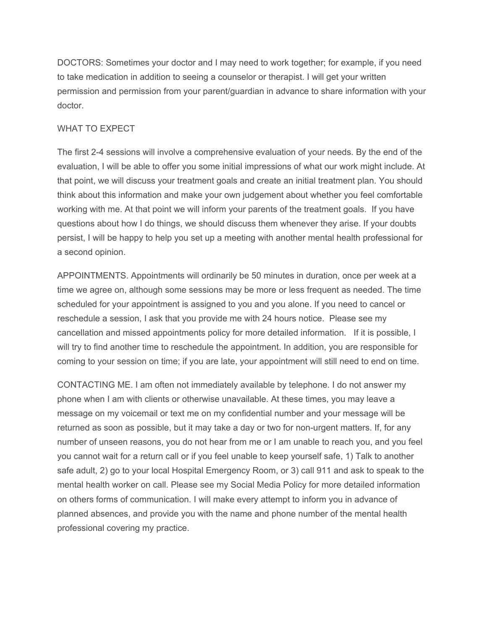DOCTORS: Sometimes your doctor and I may need to work together; for example, if you need to take medication in addition to seeing a counselor or therapist. I will get your written permission and permission from your parent/guardian in advance to share information with your doctor.

## WHAT TO EXPECT

The first 2-4 sessions will involve a comprehensive evaluation of your needs. By the end of the evaluation, I will be able to offer you some initial impressions of what our work might include. At that point, we will discuss your treatment goals and create an initial treatment plan. You should think about this information and make your own judgement about whether you feel comfortable working with me. At that point we will inform your parents of the treatment goals. If you have questions about how I do things, we should discuss them whenever they arise. If your doubts persist, I will be happy to help you set up a meeting with another mental health professional for a second opinion.

APPOINTMENTS. Appointments will ordinarily be 50 minutes in duration, once per week at a time we agree on, although some sessions may be more or less frequent as needed. The time scheduled for your appointment is assigned to you and you alone. If you need to cancel or reschedule a session, I ask that you provide me with 24 hours notice. Please see my cancellation and missed appointments policy for more detailed information. If it is possible, I will try to find another time to reschedule the appointment. In addition, you are responsible for coming to your session on time; if you are late, your appointment will still need to end on time.

CONTACTING ME. I am often not immediately available by telephone. I do not answer my phone when I am with clients or otherwise unavailable. At these times, you may leave a message on my voicemail or text me on my confidential number and your message will be returned as soon as possible, but it may take a day or two for non-urgent matters. If, for any number of unseen reasons, you do not hear from me or I am unable to reach you, and you feel you cannot wait for a return call or if you feel unable to keep yourself safe, 1) Talk to another safe adult, 2) go to your local Hospital Emergency Room, or 3) call 911 and ask to speak to the mental health worker on call. Please see my Social Media Policy for more detailed information on others forms of communication. I will make every attempt to inform you in advance of planned absences, and provide you with the name and phone number of the mental health professional covering my practice.